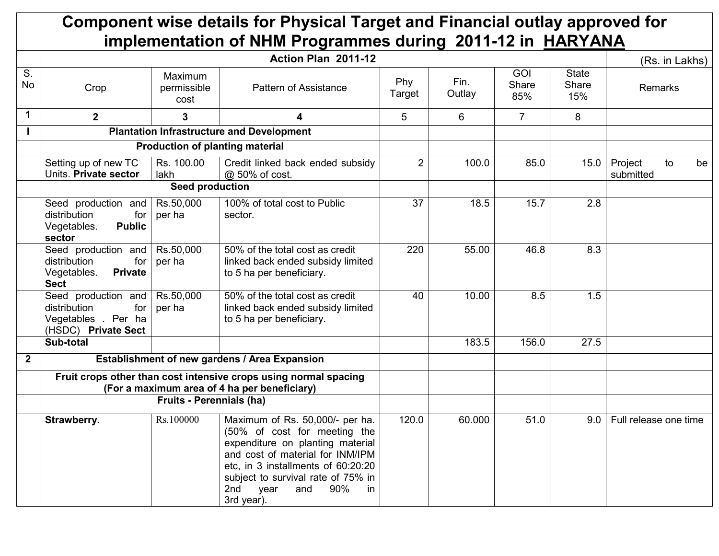## Component wise details for Physical Target and Financial outlay approved for implementation of NHM Programmes during 2011-12 in HARYANA

|                |                                                                                            |                                 | (Rs. in Lakhs)                                                                                                                                                                                                                                                       |                |                |                            |                              |                                  |
|----------------|--------------------------------------------------------------------------------------------|---------------------------------|----------------------------------------------------------------------------------------------------------------------------------------------------------------------------------------------------------------------------------------------------------------------|----------------|----------------|----------------------------|------------------------------|----------------------------------|
| S.<br>No       | Crop                                                                                       | Maximum<br>permissible<br>cost  | Pattern of Assistance                                                                                                                                                                                                                                                | Phy<br>Target  | Fin.<br>Outlay | <b>GOI</b><br>Share<br>85% | <b>State</b><br>Share<br>15% | Remarks                          |
| $\mathbf 1$    | $\overline{2}$                                                                             | 3                               | 4                                                                                                                                                                                                                                                                    | 5              | 6              | $\overline{7}$             | 8                            |                                  |
|                |                                                                                            |                                 | <b>Plantation Infrastructure and Development</b>                                                                                                                                                                                                                     |                |                |                            |                              |                                  |
|                |                                                                                            |                                 | <b>Production of planting material</b>                                                                                                                                                                                                                               |                |                |                            |                              |                                  |
|                | Setting up of new TC<br>Units. Private sector                                              | Rs. 100.00<br>lakh              | Credit linked back ended subsidy<br>@ 50% of cost.                                                                                                                                                                                                                   | $\overline{2}$ | 100.0          | 85.0                       | 15.0                         | Project<br>to<br>be<br>submitted |
|                |                                                                                            | <b>Seed production</b>          |                                                                                                                                                                                                                                                                      |                |                |                            |                              |                                  |
|                | Seed production and<br>distribution<br>for<br><b>Public</b><br>Vegetables.<br>sector       | Rs.50,000<br>per ha             | 100% of total cost to Public<br>sector.                                                                                                                                                                                                                              | 37             | 18.5           | 15.7                       | 2.8                          |                                  |
|                | Seed production and<br>distribution<br>for<br>Vegetables.<br><b>Private</b><br><b>Sect</b> | Rs.50,000<br>per ha             | 50% of the total cost as credit<br>linked back ended subsidy limited<br>to 5 ha per beneficiary.                                                                                                                                                                     | 220            | 55.00          | 46.8                       | 8.3                          |                                  |
|                | Seed production and<br>distribution<br>for<br>Vegetables . Per ha<br>(HSDC) Private Sect   | Rs.50,000<br>per ha             | 50% of the total cost as credit<br>linked back ended subsidy limited<br>to 5 ha per beneficiary.                                                                                                                                                                     | 40             | 10.00          | 8.5                        | 1.5                          |                                  |
|                | Sub-total                                                                                  |                                 |                                                                                                                                                                                                                                                                      |                | 183.5          | 156.0                      | 27.5                         |                                  |
| $\overline{2}$ |                                                                                            |                                 | Establishment of new gardens / Area Expansion                                                                                                                                                                                                                        |                |                |                            |                              |                                  |
|                |                                                                                            |                                 | Fruit crops other than cost intensive crops using normal spacing<br>(For a maximum area of 4 ha per beneficiary)                                                                                                                                                     |                |                |                            |                              |                                  |
|                |                                                                                            | <b>Fruits - Perennials (ha)</b> |                                                                                                                                                                                                                                                                      |                |                |                            |                              |                                  |
|                | Strawberry.                                                                                | Rs.100000                       | Maximum of Rs. 50,000/- per ha.<br>(50% of cost for meeting the<br>expenditure on planting material<br>and cost of material for INM/IPM<br>etc, in 3 installments of 60:20:20<br>subject to survival rate of 75% in<br>2nd<br>year<br>and<br>90%<br>in<br>3rd year). | 120.0          | 60.000         | 51.0                       | 9.0                          | Full release one time            |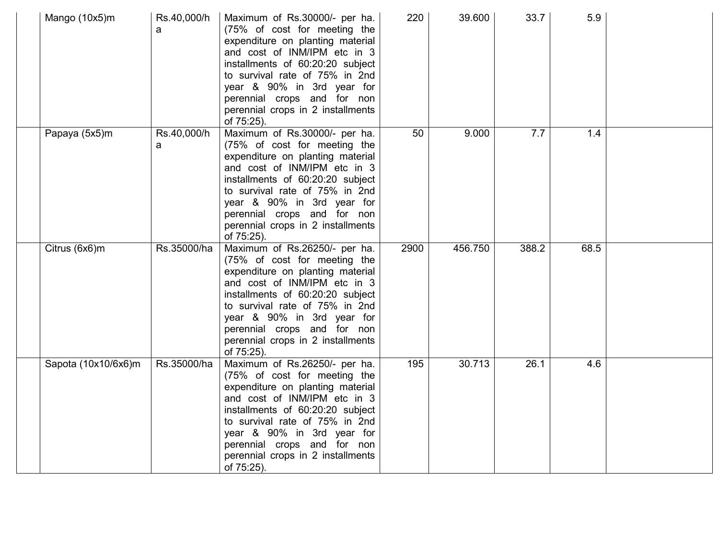| Mango (10x5)m       | Rs.40,000/h<br>a | Maximum of Rs.30000/- per ha.<br>(75% of cost for meeting the<br>expenditure on planting material<br>and cost of INM/IPM etc in 3<br>installments of 60:20:20 subject<br>to survival rate of 75% in 2nd<br>year & 90% in 3rd year for<br>perennial crops and for non<br>perennial crops in 2 installments<br>of 75:25). | 220  | 39.600  | 33.7  | 5.9  |  |
|---------------------|------------------|-------------------------------------------------------------------------------------------------------------------------------------------------------------------------------------------------------------------------------------------------------------------------------------------------------------------------|------|---------|-------|------|--|
| Papaya (5x5)m       | Rs.40,000/h<br>a | Maximum of Rs.30000/- per ha.<br>(75% of cost for meeting the<br>expenditure on planting material<br>and cost of INM/IPM etc in 3<br>installments of 60:20:20 subject<br>to survival rate of 75% in 2nd<br>year & 90% in 3rd year for<br>perennial crops and for non<br>perennial crops in 2 installments<br>of 75:25). | 50   | 9.000   | 7.7   | 1.4  |  |
| Citrus (6x6)m       | Rs.35000/ha      | Maximum of Rs.26250/- per ha.<br>(75% of cost for meeting the<br>expenditure on planting material<br>and cost of INM/IPM etc in 3<br>installments of 60:20:20 subject<br>to survival rate of 75% in 2nd<br>year & 90% in 3rd year for<br>perennial crops and for non<br>perennial crops in 2 installments<br>of 75:25). | 2900 | 456.750 | 388.2 | 68.5 |  |
| Sapota (10x10/6x6)m | Rs.35000/ha      | Maximum of Rs.26250/- per ha.<br>(75% of cost for meeting the<br>expenditure on planting material<br>and cost of INM/IPM etc in 3<br>installments of 60:20:20 subject<br>to survival rate of 75% in 2nd<br>year & 90% in 3rd year for<br>perennial crops and for non<br>perennial crops in 2 installments<br>of 75:25). | 195  | 30.713  | 26.1  | 4.6  |  |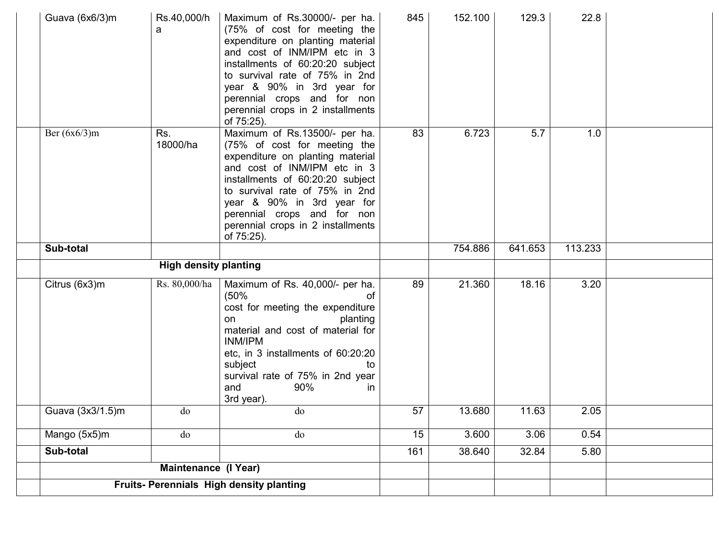| Guava (6x6/3)m   | Rs.40,000/h<br>a             | Maximum of Rs.30000/- per ha.<br>(75% of cost for meeting the<br>expenditure on planting material<br>and cost of INM/IPM etc in 3<br>installments of 60:20:20 subject<br>to survival rate of 75% in 2nd<br>year & 90% in 3rd year for<br>perennial crops and for non<br>perennial crops in 2 installments<br>of 75:25). | 845 | 152.100 | 129.3   | 22.8    |  |
|------------------|------------------------------|-------------------------------------------------------------------------------------------------------------------------------------------------------------------------------------------------------------------------------------------------------------------------------------------------------------------------|-----|---------|---------|---------|--|
| Ber $(6x6/3)$ m  | Rs.<br>18000/ha              | Maximum of Rs.13500/- per ha.<br>(75% of cost for meeting the<br>expenditure on planting material<br>and cost of INM/IPM etc in 3<br>installments of 60:20:20 subject<br>to survival rate of 75% in 2nd<br>year & 90% in 3rd year for<br>perennial crops and for non<br>perennial crops in 2 installments<br>of 75:25). | 83  | 6.723   | 5.7     | 1.0     |  |
| Sub-total        |                              |                                                                                                                                                                                                                                                                                                                         |     | 754.886 | 641.653 | 113.233 |  |
|                  | <b>High density planting</b> |                                                                                                                                                                                                                                                                                                                         |     |         |         |         |  |
| Citrus (6x3)m    | Rs. 80,000/ha                | Maximum of Rs. 40,000/- per ha.<br>(50%<br>οf<br>cost for meeting the expenditure<br>planting<br>on<br>material and cost of material for<br>INM/IPM<br>etc, in 3 installments of 60:20:20<br>subject<br>tο<br>survival rate of 75% in 2nd year<br>90%<br>and<br>$\mathsf{I}$<br>3rd year).                              | 89  | 21.360  | 18.16   | 3.20    |  |
| Guava (3x3/1.5)m | do                           | do                                                                                                                                                                                                                                                                                                                      | 57  | 13.680  | 11.63   | 2.05    |  |
| Mango (5x5)m     | do                           | do                                                                                                                                                                                                                                                                                                                      | 15  | 3.600   | 3.06    | 0.54    |  |
| Sub-total        |                              |                                                                                                                                                                                                                                                                                                                         | 161 | 38.640  | 32.84   | 5.80    |  |
|                  | <b>Maintenance (I Year)</b>  |                                                                                                                                                                                                                                                                                                                         |     |         |         |         |  |
|                  |                              | Fruits- Perennials High density planting                                                                                                                                                                                                                                                                                |     |         |         |         |  |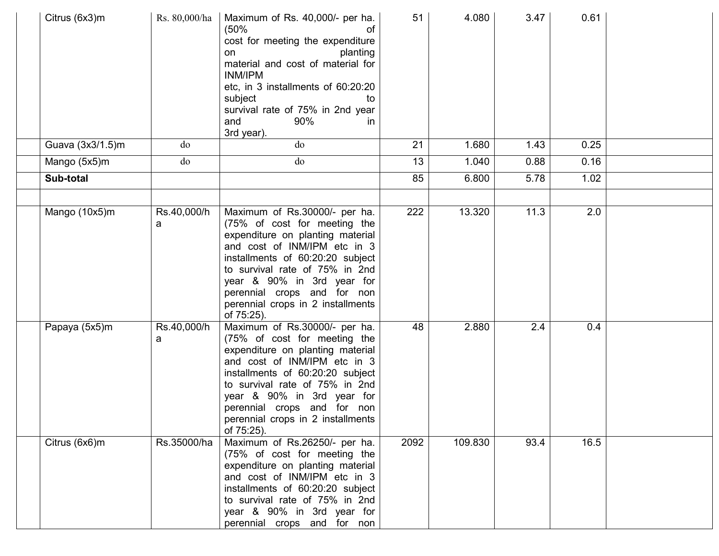| Citrus (6x3)m    | Rs. 80,000/ha    | Maximum of Rs. 40,000/- per ha.<br>(50%<br>cost for meeting the expenditure<br>planting<br>on<br>material and cost of material for<br>INM/IPM<br>etc, in 3 installments of 60:20:20<br>subject<br>tο<br>survival rate of 75% in 2nd year<br>90%<br>and<br>in.<br>3rd year).                                             | 51   | 4.080   | 3.47 | 0.61 |  |
|------------------|------------------|-------------------------------------------------------------------------------------------------------------------------------------------------------------------------------------------------------------------------------------------------------------------------------------------------------------------------|------|---------|------|------|--|
| Guava (3x3/1.5)m | do               | do                                                                                                                                                                                                                                                                                                                      | 21   | 1.680   | 1.43 | 0.25 |  |
| Mango (5x5)m     | do               | do                                                                                                                                                                                                                                                                                                                      | 13   | 1.040   | 0.88 | 0.16 |  |
| Sub-total        |                  |                                                                                                                                                                                                                                                                                                                         | 85   | 6.800   | 5.78 | 1.02 |  |
|                  |                  |                                                                                                                                                                                                                                                                                                                         |      |         |      |      |  |
| Mango (10x5)m    | Rs.40,000/h<br>a | Maximum of Rs.30000/- per ha.<br>(75% of cost for meeting the<br>expenditure on planting material<br>and cost of INM/IPM etc in 3<br>installments of 60:20:20 subject<br>to survival rate of 75% in 2nd<br>year & 90% in 3rd year for<br>perennial crops and for non<br>perennial crops in 2 installments<br>of 75:25). | 222  | 13.320  | 11.3 | 2.0  |  |
| Papaya (5x5)m    | Rs.40,000/h<br>a | Maximum of Rs.30000/- per ha.<br>(75% of cost for meeting the<br>expenditure on planting material<br>and cost of INM/IPM etc in 3<br>installments of 60:20:20 subject<br>to survival rate of 75% in 2nd<br>year & 90% in 3rd year for<br>perennial crops and for non<br>perennial crops in 2 installments<br>of 75:25). | 48   | 2.880   | 2.4  | 0.4  |  |
| Citrus (6x6)m    | Rs.35000/ha      | Maximum of Rs.26250/- per ha.<br>(75% of cost for meeting the<br>expenditure on planting material<br>and cost of INM/IPM etc in 3<br>installments of 60:20:20 subject<br>to survival rate of 75% in 2nd<br>year & 90% in 3rd year for<br>perennial crops and for non                                                    | 2092 | 109.830 | 93.4 | 16.5 |  |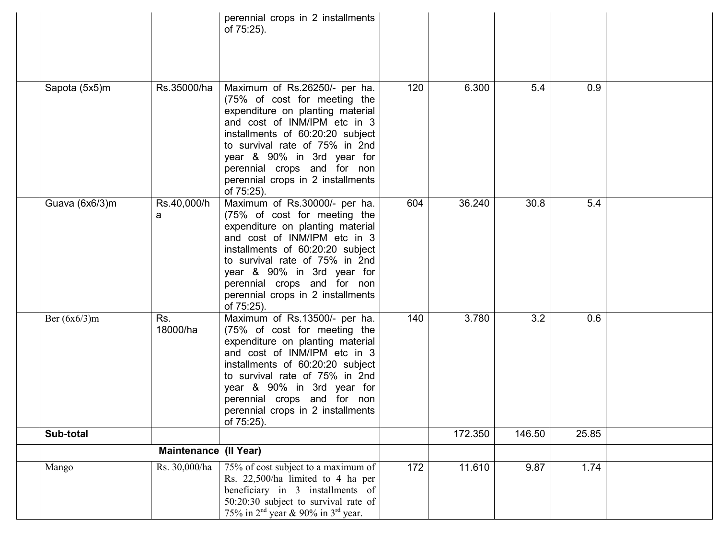|                 |                       | perennial crops in 2 installments<br>of 75:25).                                                                                                                                                                                                                                                                         |     |         |        |       |  |
|-----------------|-----------------------|-------------------------------------------------------------------------------------------------------------------------------------------------------------------------------------------------------------------------------------------------------------------------------------------------------------------------|-----|---------|--------|-------|--|
| Sapota (5x5)m   | Rs.35000/ha           | Maximum of Rs.26250/- per ha.<br>(75% of cost for meeting the<br>expenditure on planting material<br>and cost of INM/IPM etc in 3<br>installments of 60:20:20 subject<br>to survival rate of 75% in 2nd<br>year & 90% in 3rd year for<br>perennial crops and for non<br>perennial crops in 2 installments<br>of 75:25). | 120 | 6.300   | 5.4    | 0.9   |  |
| Guava (6x6/3)m  | Rs.40,000/h<br>a      | Maximum of Rs.30000/- per ha.<br>(75% of cost for meeting the<br>expenditure on planting material<br>and cost of INM/IPM etc in 3<br>installments of 60:20:20 subject<br>to survival rate of 75% in 2nd<br>year & 90% in 3rd year for<br>perennial crops and for non<br>perennial crops in 2 installments<br>of 75:25). | 604 | 36.240  | 30.8   | 5.4   |  |
| Ber $(6x6/3)$ m | Rs.<br>18000/ha       | Maximum of Rs.13500/- per ha.<br>(75% of cost for meeting the<br>expenditure on planting material<br>and cost of INM/IPM etc in 3<br>installments of 60:20:20 subject<br>to survival rate of 75% in 2nd<br>year & 90% in 3rd year for<br>perennial crops and for non<br>perennial crops in 2 installments<br>of 75:25). | 140 | 3.780   | 3.2    | 0.6   |  |
| Sub-total       |                       |                                                                                                                                                                                                                                                                                                                         |     | 172.350 | 146.50 | 25.85 |  |
|                 | Maintenance (Il Year) |                                                                                                                                                                                                                                                                                                                         |     |         |        |       |  |
| Mango           | Rs. 30,000/ha         | 75% of cost subject to a maximum of<br>Rs. 22,500/ha limited to 4 ha per<br>beneficiary in 3 installments of<br>50:20:30 subject to survival rate of<br>75% in $2nd$ year & 90% in $3rd$ year.                                                                                                                          | 172 | 11.610  | 9.87   | 1.74  |  |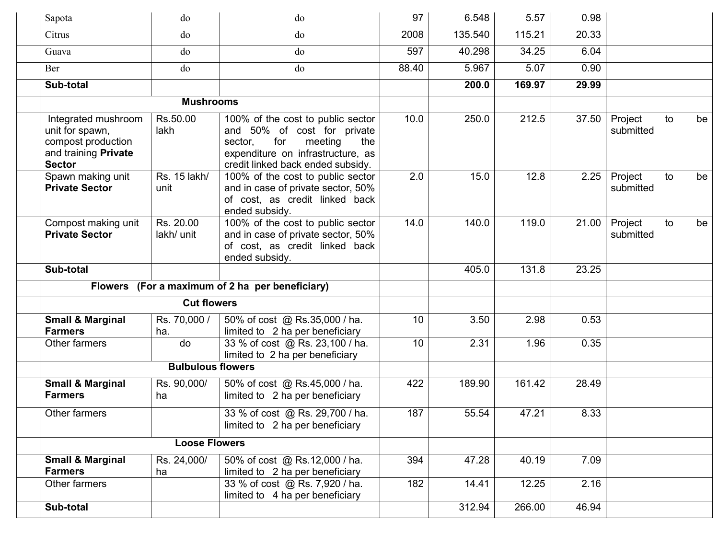| Sapota                                                                                                | do                       | do                                                                                                                                                                             | 97    | 6.548   | 5.57   | 0.98  |                      |    |    |
|-------------------------------------------------------------------------------------------------------|--------------------------|--------------------------------------------------------------------------------------------------------------------------------------------------------------------------------|-------|---------|--------|-------|----------------------|----|----|
| Citrus                                                                                                | do                       | do                                                                                                                                                                             | 2008  | 135.540 | 115.21 | 20.33 |                      |    |    |
| Guava                                                                                                 | do                       | do                                                                                                                                                                             | 597   | 40.298  | 34.25  | 6.04  |                      |    |    |
| Ber                                                                                                   | do                       | do                                                                                                                                                                             | 88.40 | 5.967   | 5.07   | 0.90  |                      |    |    |
| Sub-total                                                                                             |                          |                                                                                                                                                                                |       | 200.0   | 169.97 | 29.99 |                      |    |    |
|                                                                                                       | <b>Mushrooms</b>         |                                                                                                                                                                                |       |         |        |       |                      |    |    |
| Integrated mushroom<br>unit for spawn,<br>compost production<br>and training Private<br><b>Sector</b> | Rs.50.00<br>lakh         | 100% of the cost to public sector<br>and 50% of cost for private<br>for<br>sector,<br>meeting<br>the<br>expenditure on infrastructure, as<br>credit linked back ended subsidy. | 10.0  | 250.0   | 212.5  | 37.50 | Project<br>submitted | to | be |
| Spawn making unit<br><b>Private Sector</b>                                                            | Rs. 15 lakh/<br>unit     | 100% of the cost to public sector<br>and in case of private sector, 50%<br>of cost, as credit linked back<br>ended subsidy.                                                    | 2.0   | 15.0    | 12.8   | 2.25  | Project<br>submitted | to | be |
| Compost making unit<br><b>Private Sector</b>                                                          | Rs. 20.00<br>lakh/ unit  | 100% of the cost to public sector<br>and in case of private sector, 50%<br>of cost, as credit linked back<br>ended subsidy.                                                    | 14.0  | 140.0   | 119.0  | 21.00 | Project<br>submitted | to | be |
| Sub-total                                                                                             |                          |                                                                                                                                                                                |       | 405.0   | 131.8  | 23.25 |                      |    |    |
| <b>Flowers</b>                                                                                        |                          | (For a maximum of 2 ha per beneficiary)                                                                                                                                        |       |         |        |       |                      |    |    |
|                                                                                                       | <b>Cut flowers</b>       |                                                                                                                                                                                |       |         |        |       |                      |    |    |
| <b>Small &amp; Marginal</b><br><b>Farmers</b>                                                         | Rs. 70,000 /<br>ha.      | 50% of cost @ Rs.35,000 / ha.<br>limited to 2 ha per beneficiary                                                                                                               | 10    | 3.50    | 2.98   | 0.53  |                      |    |    |
| Other farmers                                                                                         | do                       | 33 % of cost @ Rs. 23,100 / ha.<br>limited to 2 ha per beneficiary                                                                                                             | 10    | 2.31    | 1.96   | 0.35  |                      |    |    |
|                                                                                                       | <b>Bulbulous flowers</b> |                                                                                                                                                                                |       |         |        |       |                      |    |    |
| <b>Small &amp; Marginal</b><br><b>Farmers</b>                                                         | Rs. 90,000/<br>ha        | 50% of cost @ Rs.45,000 / ha.<br>limited to 2 ha per beneficiary                                                                                                               | 422   | 189.90  | 161.42 | 28.49 |                      |    |    |
| Other farmers                                                                                         |                          | 33 % of cost @ Rs. 29,700 / ha.<br>limited to 2 ha per beneficiary                                                                                                             | 187   | 55.54   | 47.21  | 8.33  |                      |    |    |
|                                                                                                       | <b>Loose Flowers</b>     |                                                                                                                                                                                |       |         |        |       |                      |    |    |
| <b>Small &amp; Marginal</b><br><b>Farmers</b>                                                         | Rs. 24,000/<br>ha        | 50% of cost @ Rs.12,000 / ha.<br>limited to 2 ha per beneficiary                                                                                                               | 394   | 47.28   | 40.19  | 7.09  |                      |    |    |
| Other farmers                                                                                         |                          | 33 % of cost @ Rs. 7,920 / ha.<br>limited to 4 ha per beneficiary                                                                                                              | 182   | 14.41   | 12.25  | 2.16  |                      |    |    |
| Sub-total                                                                                             |                          |                                                                                                                                                                                |       | 312.94  | 266.00 | 46.94 |                      |    |    |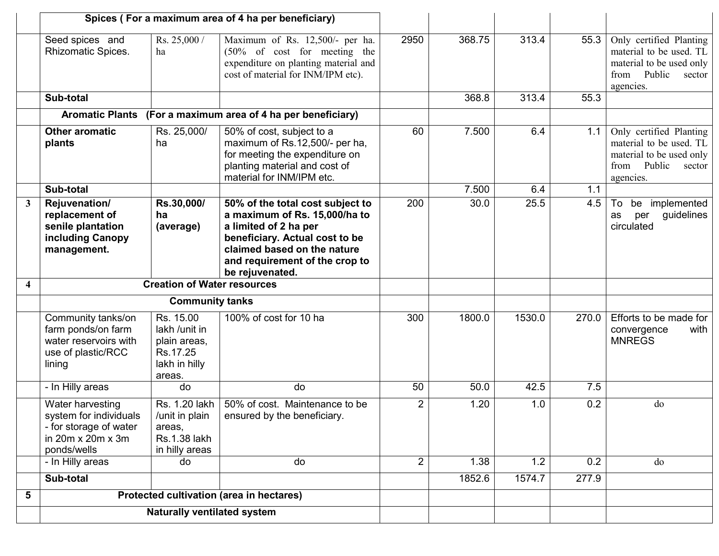|                         |                                                                                                          |                                                                                   | Spices (For a maximum area of 4 ha per beneficiary)                                                                                                                                                              |                |        |        |       |                                                                                                                         |
|-------------------------|----------------------------------------------------------------------------------------------------------|-----------------------------------------------------------------------------------|------------------------------------------------------------------------------------------------------------------------------------------------------------------------------------------------------------------|----------------|--------|--------|-------|-------------------------------------------------------------------------------------------------------------------------|
|                         | Seed spices and<br>Rhizomatic Spices.                                                                    | Rs. $25,000/$<br>ha                                                               | Maximum of Rs. 12,500/- per ha.<br>$(50\% \text{ of cost}$ for meeting the<br>expenditure on planting material and<br>cost of material for INM/IPM etc).                                                         | 2950           | 368.75 | 313.4  | 55.3  | Only certified Planting<br>material to be used. TL<br>material to be used only<br>Public<br>from<br>sector<br>agencies. |
|                         | Sub-total                                                                                                |                                                                                   |                                                                                                                                                                                                                  |                | 368.8  | 313.4  | 55.3  |                                                                                                                         |
|                         | <b>Aromatic Plants</b>                                                                                   |                                                                                   | (For a maximum area of 4 ha per beneficiary)                                                                                                                                                                     |                |        |        |       |                                                                                                                         |
|                         | <b>Other aromatic</b><br>plants                                                                          | Rs. 25,000/<br>ha                                                                 | 50% of cost, subject to a<br>maximum of Rs.12,500/- per ha,<br>for meeting the expenditure on<br>planting material and cost of<br>material for INM/IPM etc.                                                      | 60             | 7.500  | 6.4    | 1.1   | Only certified Planting<br>material to be used. TL<br>material to be used only<br>Public<br>from<br>sector<br>agencies. |
|                         | Sub-total                                                                                                |                                                                                   |                                                                                                                                                                                                                  |                | 7.500  | 6.4    | 1.1   |                                                                                                                         |
| $\mathbf{3}$            | Rejuvenation/<br>replacement of<br>senile plantation<br>including Canopy<br>management.                  | Rs.30,000/<br>ha<br>(average)                                                     | 50% of the total cost subject to<br>a maximum of Rs. 15,000/ha to<br>a limited of 2 ha per<br>beneficiary. Actual cost to be<br>claimed based on the nature<br>and requirement of the crop to<br>be rejuvenated. | 200            | 30.0   | 25.5   | 4.5   | be implemented<br>To<br>guidelines<br>per<br>as<br>circulated                                                           |
| $\overline{\mathbf{4}}$ |                                                                                                          | <b>Creation of Water resources</b>                                                |                                                                                                                                                                                                                  |                |        |        |       |                                                                                                                         |
|                         |                                                                                                          | <b>Community tanks</b>                                                            |                                                                                                                                                                                                                  |                |        |        |       |                                                                                                                         |
|                         | Community tanks/on<br>farm ponds/on farm<br>water reservoirs with<br>use of plastic/RCC<br>lining        | Rs. 15.00<br>lakh /unit in<br>plain areas,<br>Rs.17.25<br>lakh in hilly<br>areas. | 100% of cost for 10 ha                                                                                                                                                                                           | 300            | 1800.0 | 1530.0 | 270.0 | Efforts to be made for<br>with<br>convergence<br><b>MNREGS</b>                                                          |
|                         | - In Hilly areas                                                                                         | do                                                                                | do                                                                                                                                                                                                               | 50             | 50.0   | 42.5   | 7.5   |                                                                                                                         |
|                         | Water harvesting<br>system for individuals<br>- for storage of water<br>in 20m x 20m x 3m<br>ponds/wells | Rs. 1.20 lakh<br>/unit in plain<br>areas,<br>Rs.1.38 lakh<br>in hilly areas       | 50% of cost. Maintenance to be<br>ensured by the beneficiary.                                                                                                                                                    | $\overline{2}$ | 1.20   | 1.0    | 0.2   | do                                                                                                                      |
|                         | - In Hilly areas                                                                                         | do                                                                                | do                                                                                                                                                                                                               | $\overline{2}$ | 1.38   | 1.2    | 0.2   | do                                                                                                                      |
|                         | Sub-total                                                                                                |                                                                                   |                                                                                                                                                                                                                  |                | 1852.6 | 1574.7 | 277.9 |                                                                                                                         |
| 5                       |                                                                                                          |                                                                                   | Protected cultivation (area in hectares)                                                                                                                                                                         |                |        |        |       |                                                                                                                         |
|                         |                                                                                                          | <b>Naturally ventilated system</b>                                                |                                                                                                                                                                                                                  |                |        |        |       |                                                                                                                         |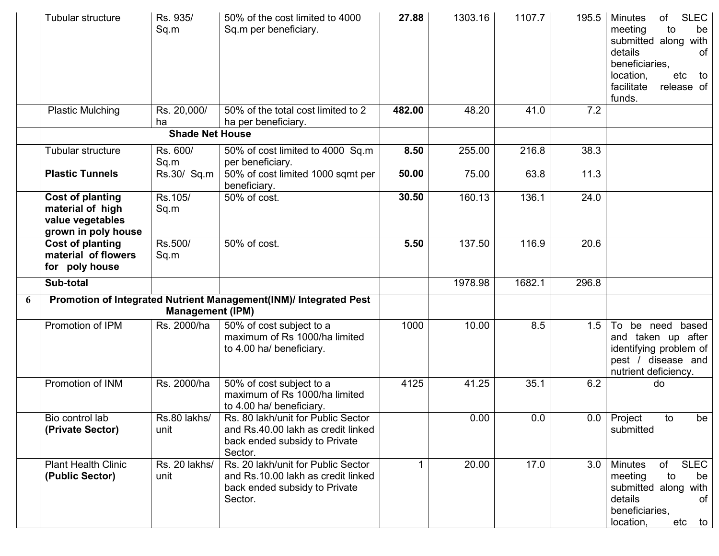|   | Tubular structure                                                                      | Rs. 935/<br>Sq.m        | 50% of the cost limited to 4000<br>Sq.m per beneficiary.                                                             | 27.88  | 1303.16 | 1107.7 | 195.5 | <b>SLEC</b><br><b>Minutes</b><br>οf<br>meeting<br>be<br>to<br>submitted along<br>with<br>details<br>of<br>beneficiaries,<br>location,<br>etc<br>to<br>facilitate<br>release of<br>funds. |
|---|----------------------------------------------------------------------------------------|-------------------------|----------------------------------------------------------------------------------------------------------------------|--------|---------|--------|-------|------------------------------------------------------------------------------------------------------------------------------------------------------------------------------------------|
|   | Plastic Mulching                                                                       | Rs. 20,000/<br>ha       | 50% of the total cost limited to 2<br>ha per beneficiary.                                                            | 482.00 | 48.20   | 41.0   | 7.2   |                                                                                                                                                                                          |
|   |                                                                                        | <b>Shade Net House</b>  |                                                                                                                      |        |         |        |       |                                                                                                                                                                                          |
|   | Tubular structure                                                                      | Rs. 600/<br>Sq.m        | 50% of cost limited to 4000 Sq.m<br>per beneficiary.                                                                 | 8.50   | 255.00  | 216.8  | 38.3  |                                                                                                                                                                                          |
|   | <b>Plastic Tunnels</b>                                                                 | Rs.30/ Sq.m             | 50% of cost limited 1000 sqmt per<br>beneficiary.                                                                    | 50.00  | 75.00   | 63.8   | 11.3  |                                                                                                                                                                                          |
|   | <b>Cost of planting</b><br>material of high<br>value vegetables<br>grown in poly house | Rs.105/<br>Sq.m         | 50% of cost.                                                                                                         | 30.50  | 160.13  | 136.1  | 24.0  |                                                                                                                                                                                          |
|   | <b>Cost of planting</b><br>material of flowers<br>for poly house                       | Rs.500/<br>Sq.m         | 50% of cost.                                                                                                         | 5.50   | 137.50  | 116.9  | 20.6  |                                                                                                                                                                                          |
|   | Sub-total                                                                              |                         |                                                                                                                      |        | 1978.98 | 1682.1 | 296.8 |                                                                                                                                                                                          |
| 6 |                                                                                        | <b>Management (IPM)</b> | Promotion of Integrated Nutrient Management(INM)/ Integrated Pest                                                    |        |         |        |       |                                                                                                                                                                                          |
|   | Promotion of IPM                                                                       | Rs. 2000/ha             | 50% of cost subject to a<br>maximum of Rs 1000/ha limited<br>to 4.00 ha/ beneficiary.                                | 1000   | 10.00   | 8.5    | 1.5   | To be need based<br>and taken up after<br>identifying problem of<br>pest / disease and<br>nutrient deficiency.                                                                           |
|   | Promotion of INM                                                                       | Rs. 2000/ha             | 50% of cost subject to a<br>maximum of Rs 1000/ha limited<br>to 4.00 ha/ beneficiary.                                | 4125   | 41.25   | 35.1   | 6.2   | do                                                                                                                                                                                       |
|   | Bio control lab<br>(Private Sector)                                                    | Rs.80 lakhs/<br>unit    | Rs. 80 lakh/unit for Public Sector<br>and Rs.40.00 lakh as credit linked<br>back ended subsidy to Private<br>Sector. |        | 0.00    | 0.0    |       | 0.0 Project<br>to<br>be<br>submitted                                                                                                                                                     |
|   | <b>Plant Health Clinic</b><br>(Public Sector)                                          | Rs. 20 lakhs/<br>unit   | Rs. 20 lakh/unit for Public Sector<br>and Rs.10.00 lakh as credit linked<br>back ended subsidy to Private<br>Sector. |        | 20.00   | 17.0   | 3.0   | <b>SLEC</b><br>Minutes<br>of<br>meeting<br>to<br>be<br>submitted along with<br>details<br>0f<br>beneficiaries,<br>location,<br>etc to                                                    |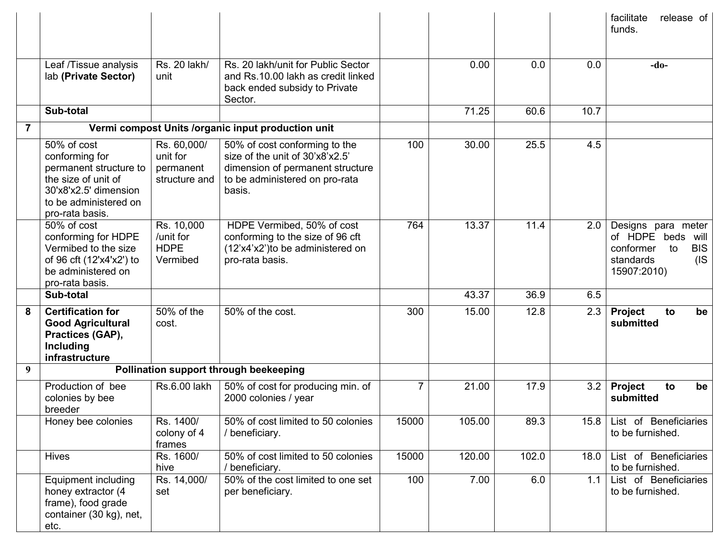|   |                                                                                                                                                     |                                                       |                                                                                                                                                  |                |        |       |      | facilitate<br>release of<br>funds.                                                                              |
|---|-----------------------------------------------------------------------------------------------------------------------------------------------------|-------------------------------------------------------|--------------------------------------------------------------------------------------------------------------------------------------------------|----------------|--------|-------|------|-----------------------------------------------------------------------------------------------------------------|
|   | Leaf /Tissue analysis<br>lab (Private Sector)                                                                                                       | Rs. 20 lakh/<br>unit                                  | Rs. 20 lakh/unit for Public Sector<br>and Rs.10.00 lakh as credit linked<br>back ended subsidy to Private<br>Sector.                             |                | 0.00   | 0.0   | 0.0  | $-do-$                                                                                                          |
|   | Sub-total                                                                                                                                           |                                                       |                                                                                                                                                  |                | 71.25  | 60.6  | 10.7 |                                                                                                                 |
| 7 |                                                                                                                                                     |                                                       | Vermi compost Units /organic input production unit                                                                                               |                |        |       |      |                                                                                                                 |
|   | 50% of cost<br>conforming for<br>permanent structure to<br>the size of unit of<br>30'x8'x2.5' dimension<br>to be administered on<br>pro-rata basis. | Rs. 60,000/<br>unit for<br>permanent<br>structure and | 50% of cost conforming to the<br>size of the unit of 30'x8'x2.5'<br>dimension of permanent structure<br>to be administered on pro-rata<br>basis. | 100            | 30.00  | 25.5  | 4.5  |                                                                                                                 |
|   | 50% of cost<br>conforming for HDPE<br>Vermibed to the size<br>of 96 cft (12'x4'x2') to<br>be administered on<br>pro-rata basis.                     | Rs. 10,000<br>/unit for<br><b>HDPE</b><br>Vermibed    | HDPE Vermibed, 50% of cost<br>conforming to the size of 96 cft<br>(12'x4'x2')to be administered on<br>pro-rata basis.                            | 764            | 13.37  | 11.4  | 2.0  | Designs para meter<br>of HDPE beds<br>will<br><b>BIS</b><br>conformer<br>to<br>(IS)<br>standards<br>15907:2010) |
|   | Sub-total                                                                                                                                           |                                                       |                                                                                                                                                  |                | 43.37  | 36.9  | 6.5  |                                                                                                                 |
| 8 | <b>Certification for</b><br><b>Good Agricultural</b><br>Practices (GAP),<br>Including<br>infrastructure                                             | 50% of the<br>cost.                                   | 50% of the cost.                                                                                                                                 | 300            | 15.00  | 12.8  | 2.3  | <b>Project</b><br>be<br>to<br>submitted                                                                         |
| 9 |                                                                                                                                                     |                                                       | Pollination support through beekeeping                                                                                                           |                |        |       |      |                                                                                                                 |
|   | Production of bee<br>colonies by bee<br>breeder                                                                                                     | Rs.6.00 lakh                                          | 50% of cost for producing min. of<br>2000 colonies / year                                                                                        | $\overline{7}$ | 21.00  | 17.9  | 3.2  | <b>Project</b><br>be<br>to<br>submitted                                                                         |
|   | Honey bee colonies                                                                                                                                  | Rs. 1400/<br>colony of 4<br>frames                    | 50% of cost limited to 50 colonies<br>/ beneficiary.                                                                                             | 15000          | 105.00 | 89.3  |      | 15.8   List of Beneficiaries<br>to be furnished.                                                                |
|   | <b>Hives</b>                                                                                                                                        | Rs. 1600/<br>hive                                     | 50% of cost limited to 50 colonies<br>/ beneficiary.                                                                                             | 15000          | 120.00 | 102.0 | 18.0 | List of Beneficiaries<br>to be furnished.                                                                       |
|   | Equipment including<br>honey extractor (4<br>frame), food grade<br>container (30 kg), net,<br>etc.                                                  | Rs. 14,000/<br>set                                    | 50% of the cost limited to one set<br>per beneficiary.                                                                                           | 100            | 7.00   | 6.0   | 1.1  | List of Beneficiaries<br>to be furnished.                                                                       |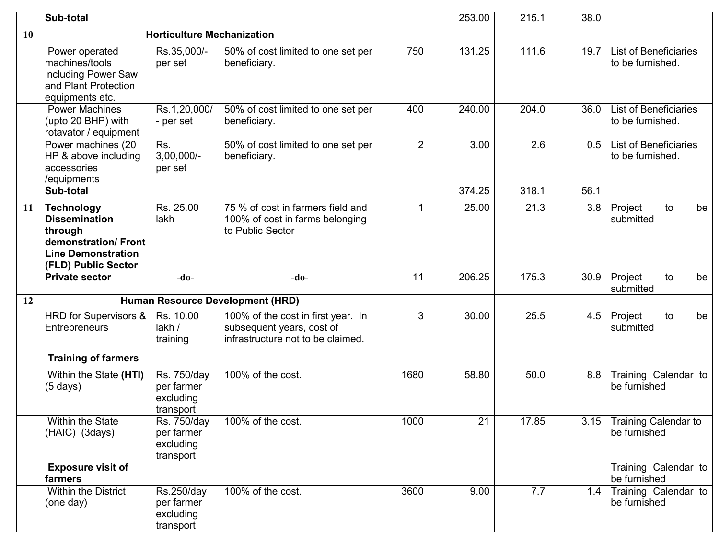|    | Sub-total                                                                                                                       |                                                     |                                                                                                      |                | 253.00 | 215.1 | 38.0 |                                                  |
|----|---------------------------------------------------------------------------------------------------------------------------------|-----------------------------------------------------|------------------------------------------------------------------------------------------------------|----------------|--------|-------|------|--------------------------------------------------|
| 10 |                                                                                                                                 | <b>Horticulture Mechanization</b>                   |                                                                                                      |                |        |       |      |                                                  |
|    | Power operated<br>machines/tools<br>including Power Saw<br>and Plant Protection<br>equipments etc.                              | Rs.35,000/-<br>per set                              | 50% of cost limited to one set per<br>beneficiary.                                                   | 750            | 131.25 | 111.6 | 19.7 | <b>List of Beneficiaries</b><br>to be furnished. |
|    | <b>Power Machines</b><br>(upto 20 BHP) with<br>rotavator / equipment                                                            | Rs.1,20,000/<br>- per set                           | 50% of cost limited to one set per<br>beneficiary.                                                   | 400            | 240.00 | 204.0 | 36.0 | <b>List of Beneficiaries</b><br>to be furnished. |
|    | Power machines (20<br>HP & above including<br>accessories<br>/equipments                                                        | Rs.<br>$3,00,000/-$<br>per set                      | 50% of cost limited to one set per<br>beneficiary.                                                   | $\overline{2}$ | 3.00   | 2.6   | 0.5  | <b>List of Beneficiaries</b><br>to be furnished. |
|    | Sub-total                                                                                                                       |                                                     |                                                                                                      |                | 374.25 | 318.1 | 56.1 |                                                  |
| 11 | <b>Technology</b><br><b>Dissemination</b><br>through<br>demonstration/Front<br><b>Line Demonstration</b><br>(FLD) Public Sector | Rs. 25.00<br>lakh                                   | 75 % of cost in farmers field and<br>100% of cost in farms belonging<br>to Public Sector             |                | 25.00  | 21.3  | 3.8  | Project<br>to<br>be<br>submitted                 |
|    | <b>Private sector</b>                                                                                                           | $-do-$                                              | $-do-$                                                                                               | 11             | 206.25 | 175.3 | 30.9 | Project<br>to<br>be<br>submitted                 |
| 12 |                                                                                                                                 |                                                     | Human Resource Development (HRD)                                                                     |                |        |       |      |                                                  |
|    | HRD for Supervisors &<br>Entrepreneurs                                                                                          | Rs. 10.00<br>lakh /<br>training                     | 100% of the cost in first year. In<br>subsequent years, cost of<br>infrastructure not to be claimed. | 3              | 30.00  | 25.5  | 4.5  | Project<br>to<br>be<br>submitted                 |
|    | <b>Training of farmers</b>                                                                                                      |                                                     |                                                                                                      |                |        |       |      |                                                  |
|    | Within the State (HTI)<br>$(5 \text{ days})$                                                                                    | Rs. 750/day<br>per farmer<br>excluding<br>transport | 100% of the cost.                                                                                    | 1680           | 58.80  | 50.0  | 8.8  | Training Calendar to<br>be furnished             |
|    | Within the State<br>(HAIC) (3days)                                                                                              | Rs. 750/day<br>per farmer<br>excluding<br>transport | 100% of the cost.                                                                                    | 1000           | 21     | 17.85 | 3.15 | <b>Training Calendar to</b><br>be furnished      |
|    | <b>Exposure visit of</b><br>farmers                                                                                             |                                                     |                                                                                                      |                |        |       |      | Training Calendar to<br>be furnished             |
|    | Within the District<br>(one day)                                                                                                | Rs.250/day<br>per farmer<br>excluding<br>transport  | 100% of the cost.                                                                                    | 3600           | 9.00   | 7.7   | 1.4  | Training Calendar to<br>be furnished             |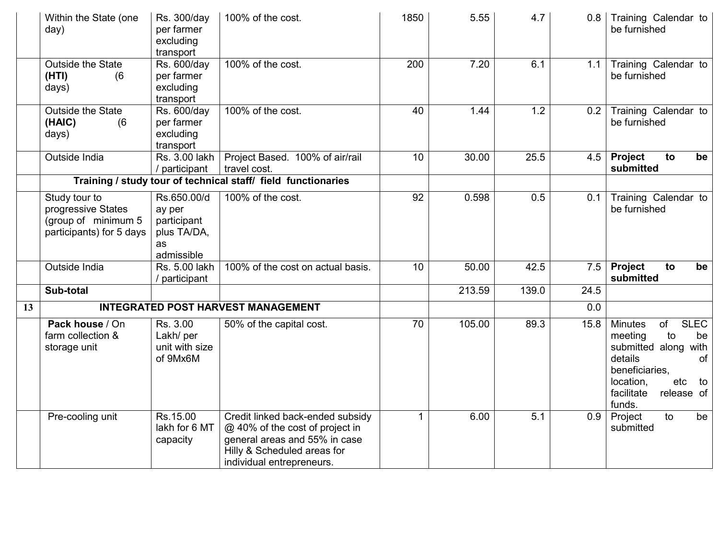|    | Within the State (one<br>day)                                                          | Rs. 300/day<br>per farmer<br>excluding<br>transport                     | 100% of the cost.                                                                                                                                                | 1850 | 5.55   | 4.7   | 0.8  | Training Calendar to<br>be furnished                                                                                                                                                  |
|----|----------------------------------------------------------------------------------------|-------------------------------------------------------------------------|------------------------------------------------------------------------------------------------------------------------------------------------------------------|------|--------|-------|------|---------------------------------------------------------------------------------------------------------------------------------------------------------------------------------------|
|    | <b>Outside the State</b><br>(HTI)<br>(6)<br>days)                                      | Rs. 600/day<br>per farmer<br>excluding<br>transport                     | 100% of the cost.                                                                                                                                                | 200  | 7.20   | 6.1   | 1.1  | Training Calendar to<br>be furnished                                                                                                                                                  |
|    | <b>Outside the State</b><br>(HAIC)<br>(6)<br>days)                                     | Rs. 600/day<br>per farmer<br>excluding<br>transport                     | 100% of the cost.                                                                                                                                                | 40   | 1.44   | 1.2   | 0.2  | Training Calendar to<br>be furnished                                                                                                                                                  |
|    | Outside India                                                                          | Rs. 3.00 lakh<br>/ participant                                          | Project Based. 100% of air/rail<br>travel cost.                                                                                                                  | 10   | 30.00  | 25.5  | 4.5  | <b>Project</b><br>to<br>be<br>submitted                                                                                                                                               |
|    |                                                                                        |                                                                         | Training / study tour of technical staff/ field functionaries                                                                                                    |      |        |       |      |                                                                                                                                                                                       |
|    | Study tour to<br>progressive States<br>(group of minimum 5<br>participants) for 5 days | Rs.650.00/d<br>ay per<br>participant<br>plus TA/DA,<br>as<br>admissible | 100% of the cost.                                                                                                                                                | 92   | 0.598  | 0.5   | 0.1  | Training Calendar to<br>be furnished                                                                                                                                                  |
|    | Outside India                                                                          | Rs. 5.00 lakh<br>/ participant                                          | 100% of the cost on actual basis.                                                                                                                                | 10   | 50.00  | 42.5  | 7.5  | Project<br>to<br>be<br>submitted                                                                                                                                                      |
|    | Sub-total                                                                              |                                                                         |                                                                                                                                                                  |      | 213.59 | 139.0 | 24.5 |                                                                                                                                                                                       |
| 13 |                                                                                        |                                                                         | <b>INTEGRATED POST HARVEST MANAGEMENT</b>                                                                                                                        |      |        |       | 0.0  |                                                                                                                                                                                       |
|    | Pack house / On<br>farm collection &<br>storage unit                                   | Rs. 3.00<br>Lakh/ per<br>unit with size<br>of 9Mx6M                     | 50% of the capital cost.                                                                                                                                         | 70   | 105.00 | 89.3  | 15.8 | <b>SLEC</b><br><b>Minutes</b><br>of<br>to<br>meeting<br>be<br>submitted along with<br>details<br>of<br>beneficiaries,<br>location,<br>etc<br>to<br>facilitate<br>release of<br>funds. |
|    | Pre-cooling unit                                                                       | Rs.15.00<br>lakh for 6 MT<br>capacity                                   | Credit linked back-ended subsidy<br>@ 40% of the cost of project in<br>general areas and 55% in case<br>Hilly & Scheduled areas for<br>individual entrepreneurs. | 1    | 6.00   | 5.1   | 0.9  | to<br>Project<br>be<br>submitted                                                                                                                                                      |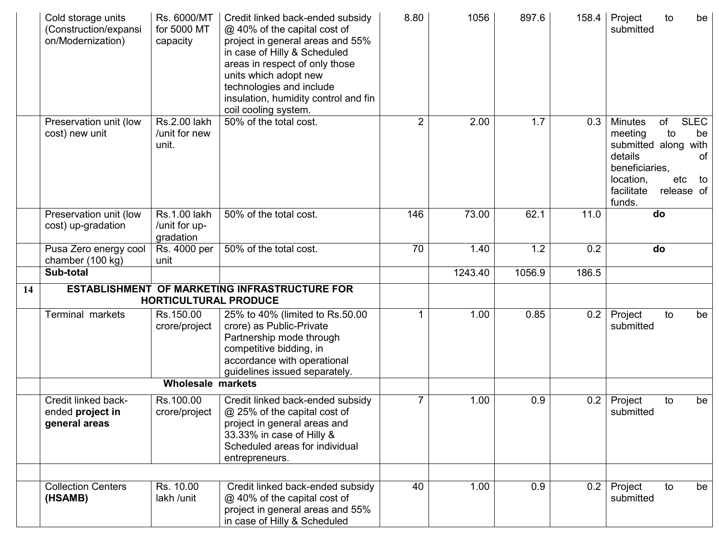|    | Cold storage units<br>(Construction/expansi<br>on/Modernization) | Rs. 6000/MT<br>for 5000 MT<br>capacity     | Credit linked back-ended subsidy<br>@ 40% of the capital cost of<br>project in general areas and 55%<br>in case of Hilly & Scheduled<br>areas in respect of only those<br>units which adopt new<br>technologies and include<br>insulation, humidity control and fin<br>coil cooling system. | 8.80           | 1056    | 897.6  | 158.4 | Project<br>submitted                                                                                           | to                            | be                                    |
|----|------------------------------------------------------------------|--------------------------------------------|---------------------------------------------------------------------------------------------------------------------------------------------------------------------------------------------------------------------------------------------------------------------------------------------|----------------|---------|--------|-------|----------------------------------------------------------------------------------------------------------------|-------------------------------|---------------------------------------|
|    | Preservation unit (low<br>cost) new unit                         | Rs.2.00 lakh<br>/unit for new<br>unit.     | 50% of the total cost.                                                                                                                                                                                                                                                                      | $\overline{2}$ | 2.00    | 1.7    | 0.3   | <b>Minutes</b><br>meeting<br>submitted along<br>details<br>beneficiaries,<br>location,<br>facilitate<br>funds. | of<br>to<br>etc<br>release of | <b>SLEC</b><br>be<br>with<br>0f<br>to |
|    | Preservation unit (low<br>cost) up-gradation                     | Rs.1.00 lakh<br>/unit for up-<br>gradation | 50% of the total cost.                                                                                                                                                                                                                                                                      | 146            | 73.00   | 62.1   | 11.0  | do                                                                                                             |                               |                                       |
|    | Pusa Zero energy cool<br>chamber (100 kg)                        | Rs. 4000 per<br>unit                       | 50% of the total cost.                                                                                                                                                                                                                                                                      | 70             | 1.40    | 1.2    | 0.2   | do                                                                                                             |                               |                                       |
|    | Sub-total                                                        |                                            |                                                                                                                                                                                                                                                                                             |                | 1243.40 | 1056.9 | 186.5 |                                                                                                                |                               |                                       |
| 14 |                                                                  | <b>HORTICULTURAL PRODUCE</b>               | ESTABLISHMENT OF MARKETING INFRASTRUCTURE FOR                                                                                                                                                                                                                                               |                |         |        |       |                                                                                                                |                               |                                       |
|    | <b>Terminal markets</b>                                          | Rs.150.00<br>crore/project                 | 25% to 40% (limited to Rs.50.00<br>crore) as Public-Private<br>Partnership mode through<br>competitive bidding, in<br>accordance with operational<br>guidelines issued separately.                                                                                                          |                | 1.00    | 0.85   | 0.2   | Project<br>submitted                                                                                           | to                            | be                                    |
|    |                                                                  | <b>Wholesale markets</b>                   |                                                                                                                                                                                                                                                                                             |                |         |        |       |                                                                                                                |                               |                                       |
|    | Credit linked back-<br>ended project in<br>general areas         | Rs.100.00<br>crore/project                 | Credit linked back-ended subsidy<br>@ 25% of the capital cost of<br>project in general areas and<br>33.33% in case of Hilly &<br>Scheduled areas for individual<br>entrepreneurs.                                                                                                           | 7              | 1.00    | 0.9    | 0.2   | Project<br>submitted                                                                                           | to                            | be                                    |
|    |                                                                  |                                            |                                                                                                                                                                                                                                                                                             |                |         |        |       |                                                                                                                |                               |                                       |
|    | <b>Collection Centers</b><br>(HSAMB)                             | Rs. 10.00<br>lakh /unit                    | Credit linked back-ended subsidy<br>@ 40% of the capital cost of<br>project in general areas and 55%<br>in case of Hilly & Scheduled                                                                                                                                                        | 40             | 1.00    | 0.9    | 0.2   | Project<br>submitted                                                                                           | to                            | be                                    |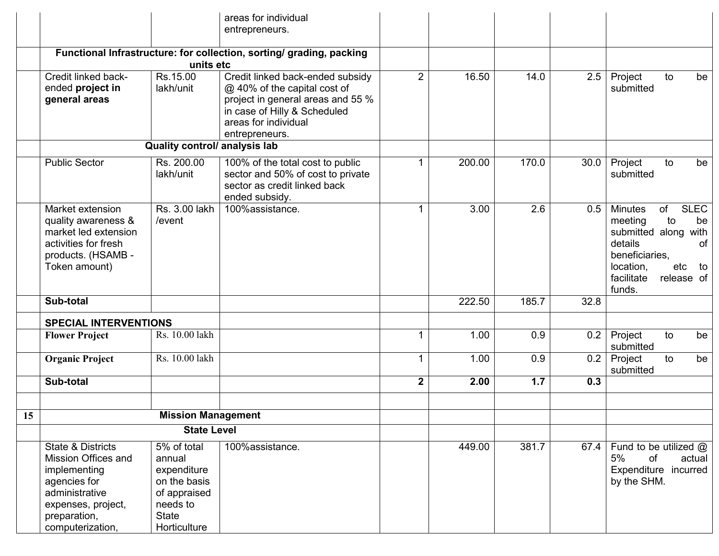|    |                                                                                                                                                      |                                                                                                                  | areas for individual<br>entrepreneurs.                                                                                                                                          |                  |        |       |      |                                                                                                                                                                                       |
|----|------------------------------------------------------------------------------------------------------------------------------------------------------|------------------------------------------------------------------------------------------------------------------|---------------------------------------------------------------------------------------------------------------------------------------------------------------------------------|------------------|--------|-------|------|---------------------------------------------------------------------------------------------------------------------------------------------------------------------------------------|
|    | Functional Infrastructure: for collection, sorting/ grading, packing<br>units etc                                                                    |                                                                                                                  |                                                                                                                                                                                 |                  |        |       |      |                                                                                                                                                                                       |
|    | Credit linked back-<br>ended project in<br>general areas                                                                                             | Rs.15.00<br>lakh/unit                                                                                            | Credit linked back-ended subsidy<br>@ 40% of the capital cost of<br>project in general areas and 55 %<br>in case of Hilly & Scheduled<br>areas for individual<br>entrepreneurs. | $\overline{2}$   | 16.50  | 14.0  | 2.5  | Project<br>to<br>be<br>submitted                                                                                                                                                      |
|    |                                                                                                                                                      | Quality control/ analysis lab                                                                                    |                                                                                                                                                                                 |                  |        |       |      |                                                                                                                                                                                       |
|    | <b>Public Sector</b>                                                                                                                                 | Rs. 200.00<br>lakh/unit                                                                                          | 100% of the total cost to public<br>sector and 50% of cost to private<br>sector as credit linked back<br>ended subsidy.                                                         |                  | 200.00 | 170.0 | 30.0 | Project<br>to<br>be<br>submitted                                                                                                                                                      |
|    | Market extension<br>quality awareness &<br>market led extension<br>activities for fresh<br>products. (HSAMB -<br>Token amount)                       | Rs. 3.00 lakh<br>/event                                                                                          | 100%assistance.                                                                                                                                                                 |                  | 3.00   | 2.6   | 0.5  | <b>SLEC</b><br>of<br><b>Minutes</b><br>to<br>meeting<br>be<br>submitted along with<br>details<br>0f<br>beneficiaries,<br>location,<br>etc<br>to<br>facilitate<br>release of<br>funds. |
|    | Sub-total                                                                                                                                            |                                                                                                                  |                                                                                                                                                                                 |                  | 222.50 | 185.7 | 32.8 |                                                                                                                                                                                       |
|    | <b>SPECIAL INTERVENTIONS</b>                                                                                                                         |                                                                                                                  |                                                                                                                                                                                 |                  |        |       |      |                                                                                                                                                                                       |
|    | <b>Flower Project</b>                                                                                                                                | Rs. 10.00 lakh                                                                                                   |                                                                                                                                                                                 | $\mathbf{1}$     | 1.00   | 0.9   | 0.2  | Project<br>to<br>be<br>submitted                                                                                                                                                      |
|    | <b>Organic Project</b>                                                                                                                               | Rs. 10.00 lakh                                                                                                   |                                                                                                                                                                                 |                  | 1.00   | 0.9   | 0.2  | Project<br>to<br>be<br>submitted                                                                                                                                                      |
|    | Sub-total                                                                                                                                            |                                                                                                                  |                                                                                                                                                                                 | $\boldsymbol{2}$ | 2.00   | 1.7   | 0.3  |                                                                                                                                                                                       |
|    |                                                                                                                                                      |                                                                                                                  |                                                                                                                                                                                 |                  |        |       |      |                                                                                                                                                                                       |
| 15 | <b>Mission Management</b><br><b>State Level</b>                                                                                                      |                                                                                                                  |                                                                                                                                                                                 |                  |        |       |      |                                                                                                                                                                                       |
|    |                                                                                                                                                      |                                                                                                                  |                                                                                                                                                                                 |                  |        |       |      |                                                                                                                                                                                       |
|    | State & Districts<br>Mission Offices and<br>implementing<br>agencies for<br>administrative<br>expenses, project,<br>preparation,<br>computerization, | 5% of total<br>annual<br>expenditure<br>on the basis<br>of appraised<br>needs to<br><b>State</b><br>Horticulture | 100%assistance.                                                                                                                                                                 |                  | 449.00 | 381.7 |      | 67.4   Fund to be utilized $@$<br>5%<br>of<br>actual<br>Expenditure incurred<br>by the SHM.                                                                                           |